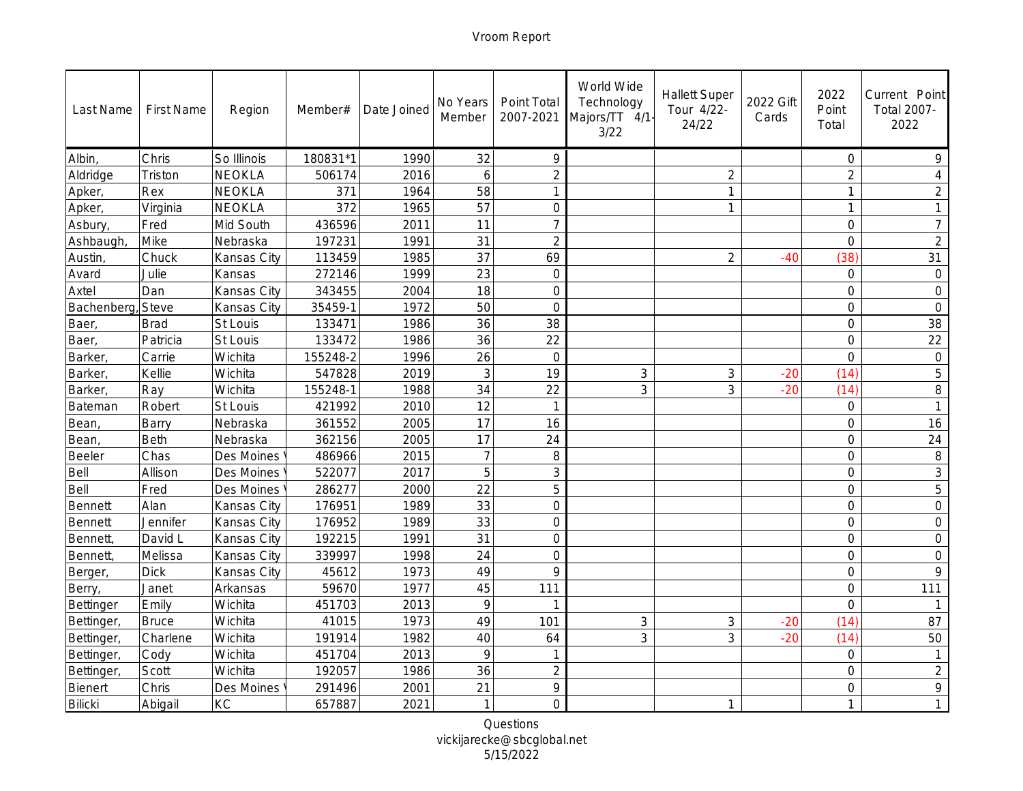| Last Name        | <b>First Name</b> | Region      | Member#  | Date Joined | No Years<br>Member | Point Total<br>2007-2021 | World Wide<br>Technology<br>Majors/TT 4/1-<br>3/22 | <b>Hallett Super</b><br>Tour 4/22-<br>24/22 | 2022 Gift<br>Cards | 2022<br>Point<br>Total | Current Point<br>Total 2007-<br>2022 |
|------------------|-------------------|-------------|----------|-------------|--------------------|--------------------------|----------------------------------------------------|---------------------------------------------|--------------------|------------------------|--------------------------------------|
| Albin,           | Chris             | So Illinois | 180831*1 | 1990        | 32                 | $\circ$                  |                                                    |                                             |                    | $\circ$                | 9                                    |
| Aldridge         | Triston           | NEOKLA      | 506174   | 2016        | 6                  | $\overline{2}$           |                                                    | $\overline{2}$                              |                    | $\overline{2}$         | $\overline{4}$                       |
| Apker,           | Rex               | NEOKLA      | 371      | 1964        | 58                 | 1                        |                                                    | 1                                           |                    | 1                      | $\overline{2}$                       |
| Apker,           | Virginia          | NEOKLA      | 372      | 1965        | 57                 | $\overline{0}$           |                                                    | 1                                           |                    | $\mathbf{1}$           | $\mathbf{1}$                         |
| Asbury,          | Fred              | Mid South   | 436596   | 2011        | 11                 | $\overline{7}$           |                                                    |                                             |                    | $\mathbf 0$            | $\overline{7}$                       |
| Ashbaugh,        | Mike              | Nebraska    | 197231   | 1991        | 31                 | $\overline{2}$           |                                                    |                                             |                    | $\overline{0}$         | $\overline{2}$                       |
| Austin,          | Chuck             | Kansas City | 113459   | 1985        | 37                 | 69                       |                                                    | $\overline{2}$                              | $-40$              | (38)                   | 31                                   |
| Avard            | Julie             | Kansas      | 272146   | 1999        | 23                 | $\mathbf 0$              |                                                    |                                             |                    | $\circ$                | $\mathbf 0$                          |
| Axtel            | Dan               | Kansas City | 343455   | 2004        | 18                 | $\overline{O}$           |                                                    |                                             |                    | $\overline{0}$         | $\overline{O}$                       |
| Bachenberg,      | Steve             | Kansas City | 35459-1  | 1972        | 50                 | $\overline{O}$           |                                                    |                                             |                    | $\overline{O}$         | $\overline{O}$                       |
| Baer,            | <b>Brad</b>       | St Louis    | 133471   | 1986        | 36                 | 38                       |                                                    |                                             |                    | $\circ$                | 38                                   |
| Baer,            | Patricia          | St Louis    | 133472   | 1986        | 36                 | 22                       |                                                    |                                             |                    | $\overline{O}$         | 22                                   |
| Barker,          | Carrie            | Wichita     | 155248-2 | 1996        | 26                 | $\mathbf 0$              |                                                    |                                             |                    | $\overline{O}$         | $\mathbf 0$                          |
| Barker,          | Kellie            | Wichita     | 547828   | 2019        | 3                  | 19                       | 3                                                  | $\mathcal{S}$                               | $-20$              | (14)                   | 5                                    |
| Barker,          | Ray               | Wichita     | 155248-1 | 1988        | 34                 | 22                       | 3                                                  | 3                                           | $-20$              | (14)                   | $\,8\,$                              |
| Bateman          | Robert            | St Louis    | 421992   | 2010        | 12                 | $\mathbf{1}$             |                                                    |                                             |                    | $\circ$                | $\mathbf{1}$                         |
| Bean,            | Barry             | Nebraska    | 361552   | 2005        | 17                 | 16                       |                                                    |                                             |                    | $\overline{0}$         | 16                                   |
| Bean,            | Beth              | Nebraska    | 362156   | 2005        | 17                 | 24                       |                                                    |                                             |                    | $\overline{O}$         | 24                                   |
| Beeler           | Chas              | Des Moines  | 486966   | 2015        | $\overline{7}$     | 8                        |                                                    |                                             |                    | $\overline{O}$         | 8                                    |
| Bell             | Allison           | Des Moines  | 522077   | 2017        | 5                  | 3                        |                                                    |                                             |                    | $\circ$                | $\mathfrak{Z}$                       |
| Bell             | Fred              | Des Moines  | 286277   | 2000        | 22                 | 5                        |                                                    |                                             |                    | $\circ$                | $\overline{5}$                       |
| Bennett          | Alan              | Kansas City | 176951   | 1989        | 33                 | $\overline{0}$           |                                                    |                                             |                    | $\mathbf 0$            | $\circ$                              |
| Bennett          | Jennifer          | Kansas City | 176952   | 1989        | 33                 | $\overline{0}$           |                                                    |                                             |                    | $\overline{0}$         | $\bigcirc$                           |
| Bennett,         | David L           | Kansas City | 192215   | 1991        | 31                 | $\mathbf 0$              |                                                    |                                             |                    | $\circ$                | $\circ$                              |
| Bennett,         | Melissa           | Kansas City | 339997   | 1998        | 24                 | $\overline{O}$           |                                                    |                                             |                    | $\circ$                | $\overline{O}$                       |
| Berger,          | <b>Dick</b>       | Kansas City | 45612    | 1973        | 49                 | 9                        |                                                    |                                             |                    | $\overline{0}$         | 9                                    |
| Berry,           | Janet             | Arkansas    | 59670    | 1977        | 45                 | 111                      |                                                    |                                             |                    | $\circ$                | 111                                  |
| Bettinger        | Emily             | Wichita     | 451703   | 2013        | 9                  | $\mathbf{1}$             |                                                    |                                             |                    | $\overline{0}$         | $\overline{1}$                       |
| <b>Bettinger</b> | <b>Bruce</b>      | Wichita     | 41015    | 1973        | 49                 | 101                      | 3                                                  | $\mathsf 3$                                 | $-20$              | (14)                   | 87                                   |
| Bettinger,       | Charlene          | Wichita     | 191914   | 1982        | 40                 | 64                       | 3                                                  | 3                                           | $-20$              | (14)                   | 50                                   |
| Bettinger,       | Cody              | Wichita     | 451704   | 2013        | 9                  | $\mathbf{1}$             |                                                    |                                             |                    | $\overline{0}$         | $\mathbf{1}$                         |
| Bettinger,       | Scott             | Wichita     | 192057   | 1986        | 36                 | $\overline{2}$           |                                                    |                                             |                    | $\overline{O}$         | $\overline{2}$                       |
| Bienert          | Chris             | Des Moines  | 291496   | 2001        | 21                 | $\circ$                  |                                                    |                                             |                    | $\mathcal{O}$          | $\mathcal{Q}$                        |
| <b>Bilicki</b>   | Abigail           | KC          | 657887   | 2021        | $\mathbf{1}$       | $\bigcap$                |                                                    | 1                                           |                    | $\mathbf{1}$           | $\mathbf{1}$                         |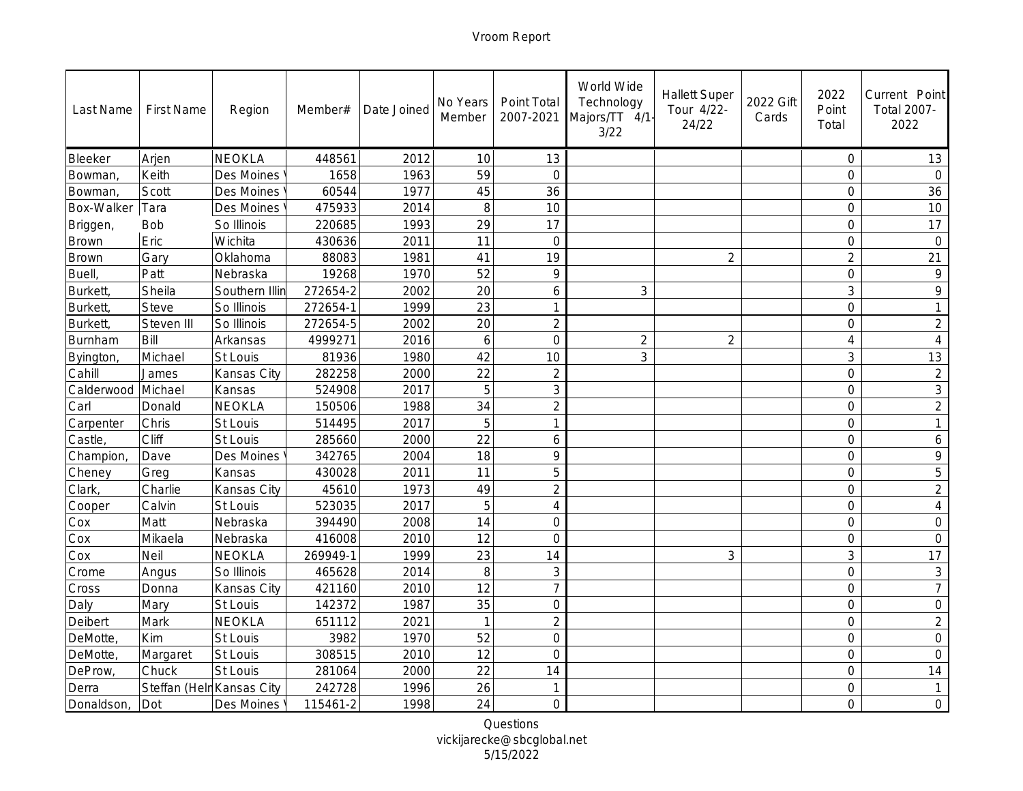| Last Name      | <b>First Name</b>         | Region         | Member#  | Date Joined | No Years<br>Member | Point Total<br>2007-2021 | World Wide<br>Technology<br>Majors/TT 4/1<br>3/22 | <b>Hallett Super</b><br>Tour 4/22-<br>24/22 | 2022 Gift<br>Cards | 2022<br>Point<br>Total | Current Point<br>Total 2007-<br>2022 |
|----------------|---------------------------|----------------|----------|-------------|--------------------|--------------------------|---------------------------------------------------|---------------------------------------------|--------------------|------------------------|--------------------------------------|
| Bleeker        | Arjen                     | NEOKLA         | 448561   | 2012        | 10                 | 13                       |                                                   |                                             |                    | $\circ$                | 13                                   |
| Bowman,        | Keith                     | Des Moines     | 1658     | 1963        | 59                 | $\bigcap$                |                                                   |                                             |                    | $\circ$                | $\bigcap$                            |
| Bowman,        | Scott                     | Des Moines     | 60544    | 1977        | 45                 | 36                       |                                                   |                                             |                    | $\overline{0}$         | 36                                   |
| Box-Walker     | Tara                      | Des Moines     | 475933   | 2014        | 8                  | 10                       |                                                   |                                             |                    | $\overline{0}$         | 10                                   |
| Briggen,       | Bob                       | So Illinois    | 220685   | 1993        | 29                 | 17                       |                                                   |                                             |                    | $\mathcal{O}$          | 17                                   |
| Brown          | Eric                      | Wichita        | 430636   | 2011        | 11                 | $\overline{O}$           |                                                   |                                             |                    | $\mathbf 0$            | $\circ$                              |
| <b>Brown</b>   | Gary                      | Oklahoma       | 88083    | 1981        | 41                 | 19                       |                                                   | $\overline{2}$                              |                    | $\overline{2}$         | 21                                   |
| Buell,         | Patt                      | Nebraska       | 19268    | 1970        | 52                 | $\circ$                  |                                                   |                                             |                    | $\mathbf 0$            | $\circ$                              |
| <b>Burkett</b> | Sheila                    | Southern Illir | 272654-2 | 2002        | 20                 | 6                        | 3                                                 |                                             |                    | 3                      | 9                                    |
| Burkett,       | Steve                     | So Illinois    | 272654-1 | 1999        | 23                 |                          |                                                   |                                             |                    | $\overline{0}$         |                                      |
| Burkett,       | Steven III                | So Illinois    | 272654-5 | 2002        | 20                 | $\overline{2}$           |                                                   |                                             |                    | $\overline{O}$         | $\overline{2}$                       |
| Burnham        | Bill                      | Arkansas       | 4999271  | 2016        | 6                  | $\overline{0}$           | $\overline{2}$                                    | $\overline{2}$                              |                    | $\overline{4}$         | $\overline{4}$                       |
| Byington,      | Michael                   | St Louis       | 81936    | 1980        | 42                 | 10                       | 3                                                 |                                             |                    | $\mathsf 3$            | 13                                   |
| Cahill         | James                     | Kansas City    | 282258   | 2000        | 22                 | $\overline{2}$           |                                                   |                                             |                    | $\overline{0}$         | $\overline{2}$                       |
| Calderwood     | Michael                   | Kansas         | 524908   | 2017        | 5                  | 3                        |                                                   |                                             |                    | $\overline{0}$         | $\mathsf 3$                          |
| Carl           | Donald                    | NEOKLA         | 150506   | 1988        | 34                 | $\overline{2}$           |                                                   |                                             |                    | $\circ$                | $\overline{2}$                       |
| Carpenter      | Chris                     | St Louis       | 514495   | 2017        | 5                  | 1                        |                                                   |                                             |                    | $\overline{0}$         | $\mathbf{1}$                         |
| Castle,        | Cliff                     | St Louis       | 285660   | 2000        | 22                 | 6                        |                                                   |                                             |                    | $\overline{O}$         | 6                                    |
| Champion       | Dave                      | Des Moines     | 342765   | 2004        | 18                 | $\circ$                  |                                                   |                                             |                    | $\overline{O}$         | 9                                    |
| Cheney         | Greg                      | Kansas         | 430028   | 2011        | 11                 | 5                        |                                                   |                                             |                    | $\circ$                | 5                                    |
| Clark,         | Charlie                   | Kansas City    | 45610    | 1973        | 49                 | $\overline{2}$           |                                                   |                                             |                    | $\circ$                | $\overline{2}$                       |
| Cooper         | Calvin                    | St Louis       | 523035   | 2017        | 5                  | $\overline{4}$           |                                                   |                                             |                    | $\mathbf 0$            | $\overline{4}$                       |
| Cox            | Matt                      | Nebraska       | 394490   | 2008        | 14                 | $\overline{O}$           |                                                   |                                             |                    | $\overline{0}$         | $\bigcirc$                           |
| Cox            | Mikaela                   | Nebraska       | 416008   | 2010        | 12                 | $\overline{0}$           |                                                   |                                             |                    | $\circ$                | $\circ$                              |
| Cox            | Neil                      | <b>NEOKLA</b>  | 269949-1 | 1999        | 23                 | 14                       |                                                   | $\mathfrak{Z}$                              |                    | 3                      | 17                                   |
| Crome          | Angus                     | So Illinois    | 465628   | 2014        | 8                  | 3                        |                                                   |                                             |                    | $\overline{0}$         | $\ensuremath{\mathsf{3}}$            |
| Cross          | Donna                     | Kansas City    | 421160   | 2010        | 12                 | $\overline{7}$           |                                                   |                                             |                    | $\circ$                | $\overline{7}$                       |
| Daly           | Mary                      | St Louis       | 142372   | 1987        | 35                 | $\overline{O}$           |                                                   |                                             |                    | $\mathsf{O}$           | $\mathbf 0$                          |
| Deibert        | Mark                      | NEOKLA         | 651112   | 2021        | $\mathbf{1}$       | $\overline{2}$           |                                                   |                                             |                    | $\overline{0}$         | $\overline{2}$                       |
| DeMotte,       | Kim                       | St Louis       | 3982     | 1970        | 52                 | $\mathbf 0$              |                                                   |                                             |                    | $\mathsf O$            | $\mathsf{O}\xspace$                  |
| DeMotte,       | Margaret                  | St Louis       | 308515   | 2010        | 12                 | $\overline{0}$           |                                                   |                                             |                    | $\overline{O}$         | $\circ$                              |
| DeProw,        | Chuck                     | St Louis       | 281064   | 2000        | 22                 | 14                       |                                                   |                                             |                    | $\overline{0}$         | 14                                   |
| Derra          | Steffan (Helr Kansas City |                | 242728   | 1996        | 26                 | 1                        |                                                   |                                             |                    | $\mathcal{O}$          | $\mathbf{1}$                         |
| Donaldson,     | Dot                       | Des Moines     | 115461-2 | 1998        | 24                 | $\bigcirc$               |                                                   |                                             |                    | $\overline{O}$         | $\circ$                              |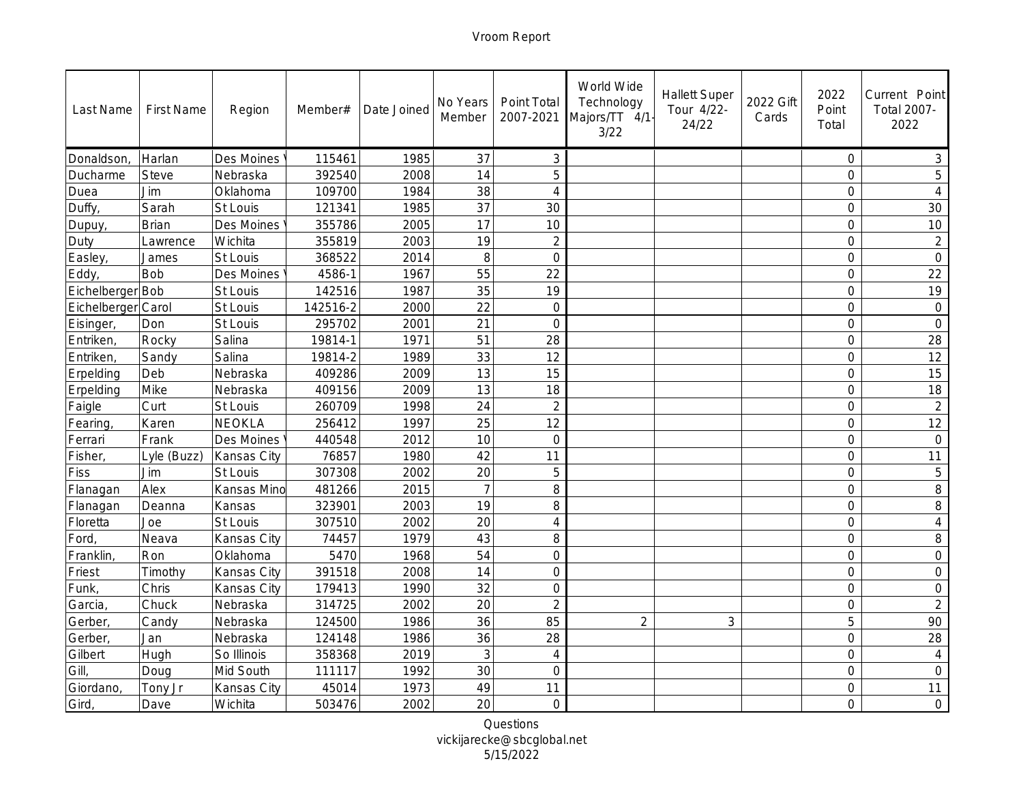| Last Name          | <b>First Name</b> | Region      | Member#  | Date Joined | No Years<br>Member | Point Total<br>2007-2021 | World Wide<br>Technology<br>Majors/TT 4/1<br>3/22 | <b>Hallett Super</b><br>Tour 4/22-<br>24/22 | 2022 Gift<br>Cards | 2022<br>Point<br>Total | Current Point<br>Total 2007-<br>2022 |
|--------------------|-------------------|-------------|----------|-------------|--------------------|--------------------------|---------------------------------------------------|---------------------------------------------|--------------------|------------------------|--------------------------------------|
| Donaldson          | Harlan            | Des Moines  | 115461   | 1985        | 37                 | 3                        |                                                   |                                             |                    | $\circ$                | 3                                    |
| Ducharme           | Steve             | Nebraska    | 392540   | 2008        | 14                 | 5                        |                                                   |                                             |                    | $\overline{O}$         | 5                                    |
| Duea               | Jim               | Oklahoma    | 109700   | 1984        | 38                 | $\overline{4}$           |                                                   |                                             |                    | $\mathsf{O}$           | $\overline{4}$                       |
| Duffy,             | Sarah             | St Louis    | 121341   | 1985        | 37                 | 30                       |                                                   |                                             |                    | $\overline{O}$         | 30                                   |
| Dupuy,             | Brian             | Des Moines  | 355786   | 2005        | 17                 | 10                       |                                                   |                                             |                    | $\mathbf 0$            | 10                                   |
| Duty               | Lawrence          | Wichita     | 355819   | 2003        | 19                 | $\overline{2}$           |                                                   |                                             |                    | $\overline{0}$         | $\overline{2}$                       |
| Easley,            | James             | St Louis    | 368522   | 2014        | 8                  | $\overline{O}$           |                                                   |                                             |                    | $\circ$                | $\mathbf 0$                          |
| Eddy               | Bob               | Des Moines  | 4586-1   | 1967        | 55                 | 22                       |                                                   |                                             |                    | $\mathbf 0$            | 22                                   |
| Eichelberger Bob   |                   | St Louis    | 142516   | 1987        | 35                 | 19                       |                                                   |                                             |                    | $\overline{0}$         | 19                                   |
| Eichelberger Carol |                   | St Louis    | 142516-2 | 2000        | 22                 | $\Omega$                 |                                                   |                                             |                    | $\overline{0}$         | $\mathbf 0$                          |
| Eisinger,          | Don               | St Louis    | 295702   | 2001        | 21                 | $\Omega$                 |                                                   |                                             |                    | $\mathbf 0$            | $\overline{O}$                       |
| Entriken,          | Rocky             | Salina      | 19814-1  | 1971        | 51                 | 28                       |                                                   |                                             |                    | $\overline{0}$         | 28                                   |
| Entriken,          | Sandy             | Salina      | 19814-2  | 1989        | 33                 | 12                       |                                                   |                                             |                    | $\mathbf 0$            | 12                                   |
| Erpelding          | Deb               | Nebraska    | 409286   | 2009        | 13                 | 15                       |                                                   |                                             |                    | $\overline{0}$         | 15                                   |
| Erpelding          | Mike              | Nebraska    | 409156   | 2009        | 13                 | 18                       |                                                   |                                             |                    | $\overline{0}$         | 18                                   |
| Faigle             | Curt              | St Louis    | 260709   | 1998        | 24                 | $\overline{2}$           |                                                   |                                             |                    | $\mathsf{O}$           | $\overline{2}$                       |
| Fearing,           | Karen             | NEOKLA      | 256412   | 1997        | 25                 | 12                       |                                                   |                                             |                    | $\overline{0}$         | $\overline{12}$                      |
| Ferrari            | Frank             | Des Moines  | 440548   | 2012        | 10                 | $\overline{0}$           |                                                   |                                             |                    | $\overline{0}$         | $\circ$                              |
| Fisher,            | Lyle (Buzz)       | Kansas City | 76857    | 1980        | 42                 | 11                       |                                                   |                                             |                    | $\overline{0}$         | 11                                   |
| Fiss               | Jim               | St Louis    | 307308   | 2002        | 20                 | 5                        |                                                   |                                             |                    | $\circ$                | 5                                    |
| Flanagan           | Alex              | Kansas Mino | 481266   | 2015        | $\overline{7}$     | $\,8\,$                  |                                                   |                                             |                    | $\circ$                | 8                                    |
| Flanagan           | Deanna            | Kansas      | 323901   | 2003        | 19                 | $\,8\,$                  |                                                   |                                             |                    | $\overline{0}$         | 8                                    |
| Floretta           | Joe               | St Louis    | 307510   | 2002        | 20                 | $\overline{4}$           |                                                   |                                             |                    | $\overline{0}$         | $\sqrt{4}$                           |
| Ford,              | Neava             | Kansas City | 74457    | 1979        | 43                 | 8                        |                                                   |                                             |                    | $\circ$                | 8                                    |
| Franklin,          | Ron               | Oklahoma    | 5470     | 1968        | 54                 | $\Omega$                 |                                                   |                                             |                    | $\mathbf 0$            | $\circ$                              |
| Friest             | Timothy           | Kansas City | 391518   | 2008        | 14                 | $\Omega$                 |                                                   |                                             |                    | $\sqrt{a}$             | $\mathbf 0$                          |
| Funk,              | Chris             | Kansas City | 179413   | 1990        | 32                 | $\Omega$                 |                                                   |                                             |                    | $\circ$                | $\mathcal O$                         |
| Garcia,            | Chuck             | Nebraska    | 314725   | 2002        | 20                 | $\overline{2}$           |                                                   |                                             |                    | $\mathbf 0$            | $\overline{2}$                       |
| Gerber,            | Candy             | Nebraska    | 124500   | 1986        | 36                 | 85                       | $\overline{2}$                                    | 3                                           |                    | 5                      | 90                                   |
| Gerber,            | Jan               | Nebraska    | 124148   | 1986        | 36                 | 28                       |                                                   |                                             |                    | $\mathsf O$            | 28                                   |
| Gilbert            | Hugh              | So Illinois | 358368   | 2019        | 3                  | $\overline{4}$           |                                                   |                                             |                    | $\sqrt{a}$             | $\overline{4}$                       |
| Gill,              | Doug              | Mid South   | 111117   | 1992        | 30                 | $\overline{0}$           |                                                   |                                             |                    | $\overline{0}$         | $\overline{O}$                       |
| Giordano,          | Tony Jr           | Kansas City | 45014    | 1973        | 49                 | 11                       |                                                   |                                             |                    | $\mathbf 0$            | 11                                   |
| Gird,              | Dave              | Wichita     | 503476   | 2002        | 20                 | $\Omega$                 |                                                   |                                             |                    | $\overline{O}$         | $\circ$                              |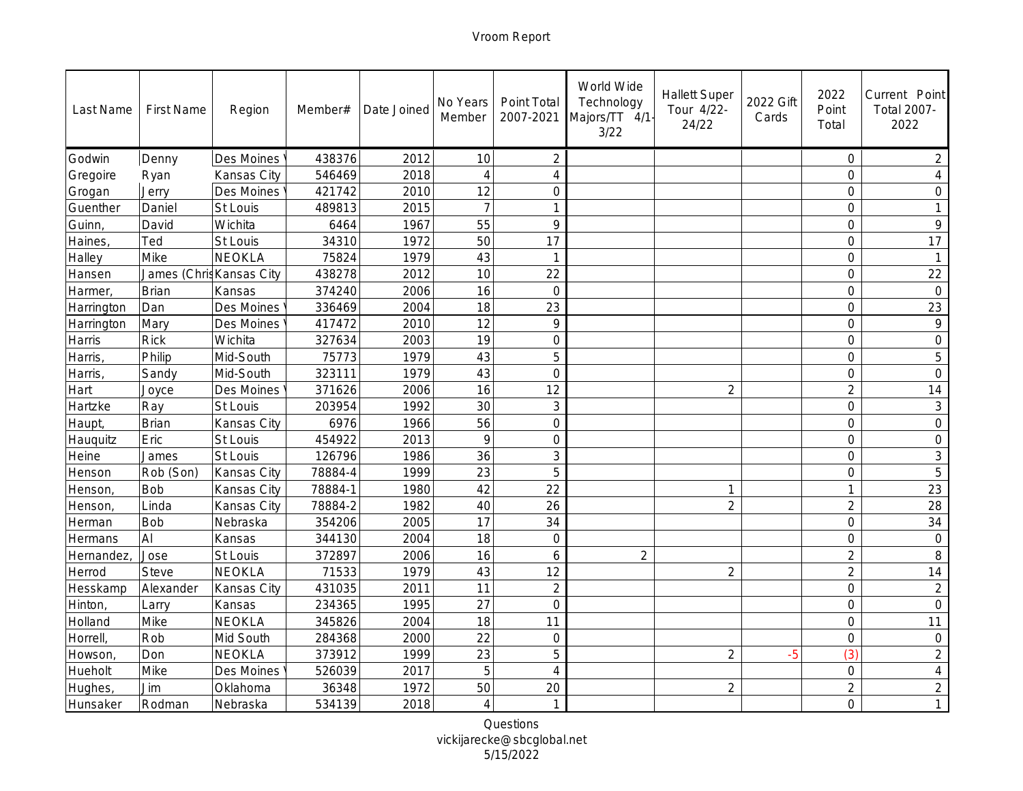| Last Name  | <b>First Name</b>        | Region        | Member# | Date Joined | No Years<br>Member | Point Total<br>2007-2021 | World Wide<br>Technology<br>Majors/TT 4/1<br>3/22 | <b>Hallett Super</b><br>Tour 4/22-<br>24/22 | 2022 Gift<br>Cards | 2022<br>Point<br>Total | Current Point<br>Total 2007-<br>2022 |
|------------|--------------------------|---------------|---------|-------------|--------------------|--------------------------|---------------------------------------------------|---------------------------------------------|--------------------|------------------------|--------------------------------------|
| Godwin     | Denny                    | Des Moines    | 438376  | 2012        | 10                 | $\overline{2}$           |                                                   |                                             |                    | $\circ$                | $\overline{2}$                       |
| Gregoire   | Ryan                     | Kansas City   | 546469  | 2018        | $\overline{4}$     | $\overline{4}$           |                                                   |                                             |                    | $\mathsf{O}$           | $\overline{4}$                       |
| Grogan     | Jerry                    | Des Moines    | 421742  | 2010        | 12                 | $\circ$                  |                                                   |                                             |                    | $\overline{0}$         | $\circ$                              |
| Guenther   | Daniel                   | St Louis      | 489813  | 2015        | $\overline{7}$     | 1                        |                                                   |                                             |                    | $\overline{0}$         | $\mathbf{1}$                         |
| Guinn,     | David                    | Wichita       | 6464    | 1967        | 55                 | $\circ$                  |                                                   |                                             |                    | $\mathcal{O}$          | 9                                    |
| Haines,    | Ted                      | St Louis      | 34310   | 1972        | 50                 | 17                       |                                                   |                                             |                    | $\overline{0}$         | 17                                   |
| Halley     | Mike                     | <b>NEOKLA</b> | 75824   | 1979        | 43                 | $\mathbf{1}$             |                                                   |                                             |                    | $\overline{0}$         | $\overline{1}$                       |
| Hansen     | James (Chris Kansas City |               | 438278  | 2012        | 10                 | 22                       |                                                   |                                             |                    | $\mathbf 0$            | 22                                   |
| Harmer,    | Brian                    | Kansas        | 374240  | 2006        | 16                 | $\overline{O}$           |                                                   |                                             |                    | $\overline{0}$         | $\overline{0}$                       |
| Harrington | Dan                      | Des Moines    | 336469  | 2004        | 18                 | 23                       |                                                   |                                             |                    | $\overline{O}$         | 23                                   |
| Harrington | Mary                     | Des Moines    | 417472  | 2010        | 12                 | 9                        |                                                   |                                             |                    | $\overline{O}$         | $\mathcal{Q}$                        |
| Harris     | <b>Rick</b>              | Wichita       | 327634  | 2003        | 19                 | $\overline{O}$           |                                                   |                                             |                    | $\overline{O}$         | $\circ$                              |
| Harris,    | Philip                   | Mid-South     | 75773   | 1979        | 43                 | 5                        |                                                   |                                             |                    | $\overline{0}$         | 5                                    |
| Harris,    | Sandy                    | Mid-South     | 323111  | 1979        | 43                 | $\overline{0}$           |                                                   |                                             |                    | $\mathbf 0$            | $\overline{0}$                       |
| Hart       | Joyce                    | Des Moines    | 371626  | 2006        | 16                 | 12                       |                                                   | $\overline{2}$                              |                    | $\overline{2}$         | 14                                   |
| Hartzke    | Ray                      | St Louis      | 203954  | 1992        | 30                 | 3                        |                                                   |                                             |                    | $\circ$                | $\mathsf 3$                          |
| Haupt,     | Brian                    | Kansas City   | 6976    | 1966        | 56                 | $\overline{0}$           |                                                   |                                             |                    | $\overline{0}$         | $\mathbf 0$                          |
| Hauguitz   | Eric                     | St Louis      | 454922  | 2013        | $\circ$            | $\overline{0}$           |                                                   |                                             |                    | $\overline{0}$         | $\mathbf 0$                          |
| Heine      | James                    | St Louis      | 126796  | 1986        | 36                 | 3                        |                                                   |                                             |                    | $\overline{O}$         | $\mathfrak{Z}$                       |
| Henson     | Rob (Son)                | Kansas City   | 78884-4 | 1999        | 23                 | 5                        |                                                   |                                             |                    | $\circ$                | 5                                    |
| Henson,    | <b>Bob</b>               | Kansas City   | 78884-1 | 1980        | 42                 | 22                       |                                                   | $\mathbf 1$                                 |                    | $\mathbf{1}$           | 23                                   |
| Henson,    | Linda                    | Kansas City   | 78884-2 | 1982        | 40                 | 26                       |                                                   | $\overline{2}$                              |                    | $\overline{2}$         | 28                                   |
| Herman     | Bob                      | Nebraska      | 354206  | 2005        | 17                 | 34                       |                                                   |                                             |                    | $\overline{0}$         | 34                                   |
| Hermans    | AI                       | Kansas        | 344130  | 2004        | 18                 | $\mathbf 0$              |                                                   |                                             |                    | $\circ$                | $\bigcirc$                           |
| Hernandez, | Jose                     | St Louis      | 372897  | 2006        | 16                 | 6                        | $\overline{2}$                                    |                                             |                    | $\overline{2}$         | 8                                    |
| Herrod     | <b>Steve</b>             | <b>NEOKLA</b> | 71533   | 1979        | 43                 | 12                       |                                                   | $\overline{2}$                              |                    | $\overline{2}$         | 14                                   |
| Hesskamp   | Alexander                | Kansas City   | 431035  | 2011        | 11                 | $\overline{2}$           |                                                   |                                             |                    | $\mathbf 0$            | $\overline{2}$                       |
| Hinton,    | Larry                    | Kansas        | 234365  | 1995        | 27                 | $\overline{O}$           |                                                   |                                             |                    | $\circ$                | $\mathbf 0$                          |
| Holland    | Mike                     | NEOKLA        | 345826  | 2004        | 18                 | 11                       |                                                   |                                             |                    | $\overline{0}$         | 11                                   |
| Horrell,   | Rob                      | Mid South     | 284368  | 2000        | 22                 | $\mathbf 0$              |                                                   |                                             |                    | $\mathsf O$            | $\bigcirc$                           |
| Howson,    | Don                      | <b>NEOKLA</b> | 373912  | 1999        | 23                 | 5                        |                                                   | $\overline{2}$                              | $-5$               | (3)                    | $\overline{2}$                       |
| Hueholt    | Mike                     | Des Moines    | 526039  | 2017        | 5                  | $\overline{4}$           |                                                   |                                             |                    | $\overline{0}$         | $\overline{4}$                       |
| Hughes,    | Jim                      | Oklahoma      | 36348   | 1972        | 50                 | 20                       |                                                   | $\overline{2}$                              |                    | $\overline{2}$         | $\overline{2}$                       |
| Hunsaker   | Rodman                   | Nebraska      | 534139  | 2018        | $\overline{4}$     | $\mathbf{1}$             |                                                   |                                             |                    | $\overline{O}$         | $\mathbf{1}$                         |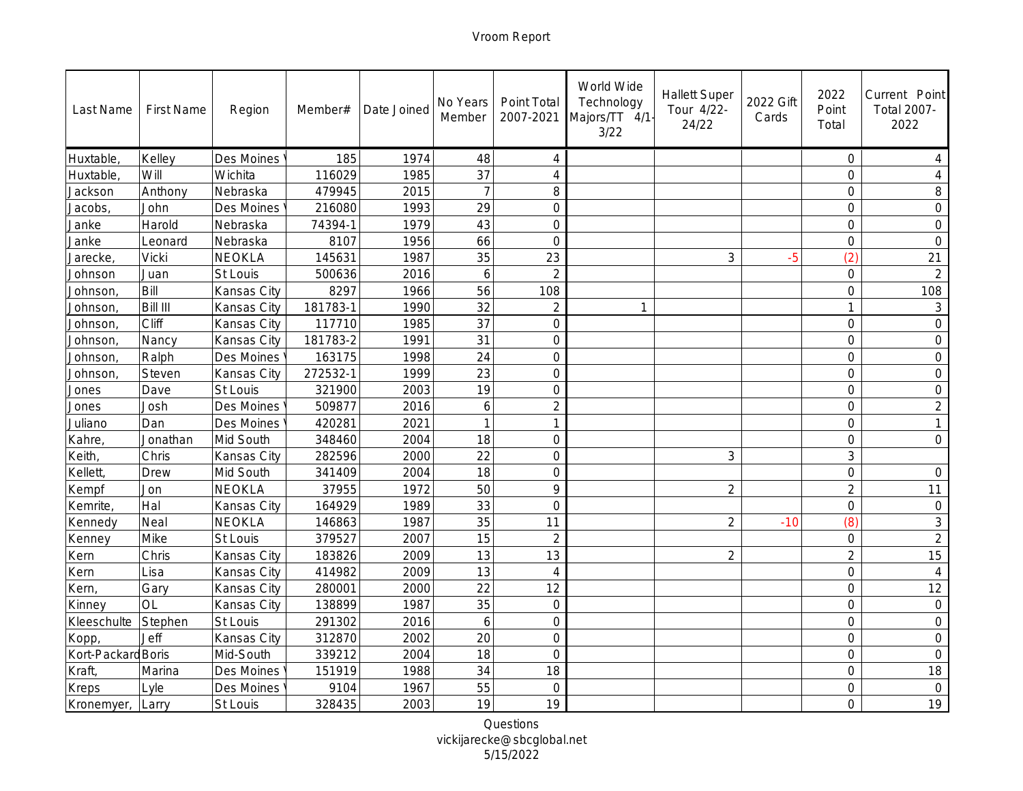| Last Name          | <b>First Name</b> | Region      | Member#  | Date Joined | No Years<br>Member | Point Total<br>2007-2021 | World Wide<br>Technology<br>Majors/TT 4/1<br>3/22 | <b>Hallett Super</b><br>Tour 4/22-<br>24/22 | 2022 Gift<br>Cards | 2022<br>Point<br>Total | Current Point<br>Total 2007-<br>2022 |
|--------------------|-------------------|-------------|----------|-------------|--------------------|--------------------------|---------------------------------------------------|---------------------------------------------|--------------------|------------------------|--------------------------------------|
| Huxtable,          | Kelley            | Des Moines  | 185      | 1974        | 48                 | $\overline{4}$           |                                                   |                                             |                    | $\circ$                | 4                                    |
| Huxtable,          | Will              | Wichita     | 116029   | 1985        | 37                 | $\overline{4}$           |                                                   |                                             |                    | $\circ$                | $\overline{4}$                       |
| Jackson            | Anthony           | Nebraska    | 479945   | 2015        | $\overline{7}$     | 8                        |                                                   |                                             |                    | $\overline{0}$         | 8                                    |
| Jacobs,            | John              | Des Moines  | 216080   | 1993        | 29                 | $\overline{0}$           |                                                   |                                             |                    | $\overline{O}$         | $\overline{0}$                       |
| Janke              | Harold            | Nebraska    | 74394-1  | 1979        | 43                 | $\overline{O}$           |                                                   |                                             |                    | $\mathcal{O}$          | $\mathbf 0$                          |
| Janke              | Leonard           | Nebraska    | 8107     | 1956        | 66                 | $\overline{O}$           |                                                   |                                             |                    | $\mathbf 0$            | $\sqrt{a}$                           |
| Jarecke,           | Vicki             | NEOKLA      | 145631   | 1987        | 35                 | 23                       |                                                   | 3                                           | $-5$               | (2)                    | 21                                   |
| Johnson            | Juan              | St Louis    | 500636   | 2016        | 6                  | $\overline{2}$           |                                                   |                                             |                    | $\circ$                | $\overline{2}$                       |
| Johnson,           | Bill              | Kansas City | 8297     | 1966        | 56                 | 108                      |                                                   |                                             |                    | $\overline{0}$         | 108                                  |
| Johnson,           | Bill III          | Kansas City | 181783-1 | 1990        | 32                 | $\overline{2}$           |                                                   |                                             |                    | $\mathbf{1}$           | $\ensuremath{\mathsf{3}}$            |
| Johnson,           | Cliff             | Kansas City | 117710   | 1985        | 37                 | $\overline{O}$           |                                                   |                                             |                    | $\overline{O}$         | $\circ$                              |
| Johnson,           | Nancy             | Kansas City | 181783-2 | 1991        | 31                 | $\overline{O}$           |                                                   |                                             |                    | $\overline{O}$         | $\overline{O}$                       |
| Johnson,           | Ralph             | Des Moines  | 163175   | 1998        | 24                 | $\mathbf 0$              |                                                   |                                             |                    | $\overline{O}$         | $\mathbf 0$                          |
| Johnson,           | Steven            | Kansas City | 272532-1 | 1999        | 23                 | $\overline{0}$           |                                                   |                                             |                    | $\circ$                | $\mathbf 0$                          |
| Jones              | Dave              | St Louis    | 321900   | 2003        | 19                 | $\overline{0}$           |                                                   |                                             |                    | $\overline{0}$         | $\overline{0}$                       |
| Jones              | Josh              | Des Moines  | 509877   | 2016        | 6                  | $\overline{2}$           |                                                   |                                             |                    | $\circ$                | $\overline{2}$                       |
| Juliano            | Dan               | Des Moines  | 420281   | 2021        | $\overline{1}$     | $\mathbf{1}$             |                                                   |                                             |                    | $\overline{0}$         | $\mathbf{1}$                         |
| Kahre,             | Jonathan          | Mid South   | 348460   | 2004        | 18                 | $\overline{0}$           |                                                   |                                             |                    | $\overline{O}$         | $\overline{O}$                       |
| Keith,             | Chris             | Kansas City | 282596   | 2000        | $\overline{22}$    | $\overline{0}$           |                                                   | $\mathsf 3$                                 |                    | 3                      |                                      |
| Kellett,           | Drew              | Mid South   | 341409   | 2004        | 18                 | $\overline{0}$           |                                                   |                                             |                    | $\mathbf 0$            | $\circ$                              |
| Kempf              | Jon               | NEOKLA      | 37955    | 1972        | 50                 | $\circ$                  |                                                   | $\overline{2}$                              |                    | $\overline{2}$         | 11                                   |
| Kemrite,           | Hal               | Kansas City | 164929   | 1989        | 33                 | $\overline{0}$           |                                                   |                                             |                    | $\mathbf 0$            | $\bigcirc$                           |
| Kennedy            | Neal              | NEOKLA      | 146863   | 1987        | 35                 | 11                       |                                                   | $\overline{2}$                              | $-10$              | (8)                    | $\mathfrak{Z}$                       |
| Kenney             | Mike              | St Louis    | 379527   | 2007        | 15                 | $\overline{2}$           |                                                   |                                             |                    | $\mathbf 0$            | $\overline{2}$                       |
| Kern               | Chris             | Kansas City | 183826   | 2009        | 13                 | 13                       |                                                   | $\overline{2}$                              |                    | $\overline{2}$         | 15                                   |
| Kern               | Lisa              | Kansas City | 414982   | 2009        | 13                 | $\overline{4}$           |                                                   |                                             |                    | $\overline{0}$         | $\overline{4}$                       |
| Kern,              | Gary              | Kansas City | 280001   | 2000        | 22                 | 12                       |                                                   |                                             |                    | $\circ$                | 12                                   |
| Kinney             | OL                | Kansas City | 138899   | 1987        | 35                 | $\overline{O}$           |                                                   |                                             |                    | $\mathsf{O}$           | $\circ$                              |
| Kleeschulte        | Stephen           | St Louis    | 291302   | 2016        | 6                  | $\overline{O}$           |                                                   |                                             |                    | $\overline{0}$         | $\overline{0}$                       |
| Kopp,              | Jeff              | Kansas City | 312870   | 2002        | 20                 | $\mathbf 0$              |                                                   |                                             |                    | $\mathsf O$            | $\bigcirc$                           |
| Kort-Packard Boris |                   | Mid-South   | 339212   | 2004        | 18                 | $\overline{0}$           |                                                   |                                             |                    | $\overline{0}$         | $\bigcirc$                           |
| Kraft,             | Marina            | Des Moines  | 151919   | 1988        | 34                 | 18                       |                                                   |                                             |                    | $\overline{0}$         | 18                                   |
| Kreps              | Lyle              | Des Moines  | 9104     | 1967        | 55                 | $\mathbf 0$              |                                                   |                                             |                    | $\mathbf 0$            | $\circ$                              |
| Kronemyer,         | Larry             | St Louis    | 328435   | 2003        | 19                 | 19                       |                                                   |                                             |                    | $\overline{O}$         | 19                                   |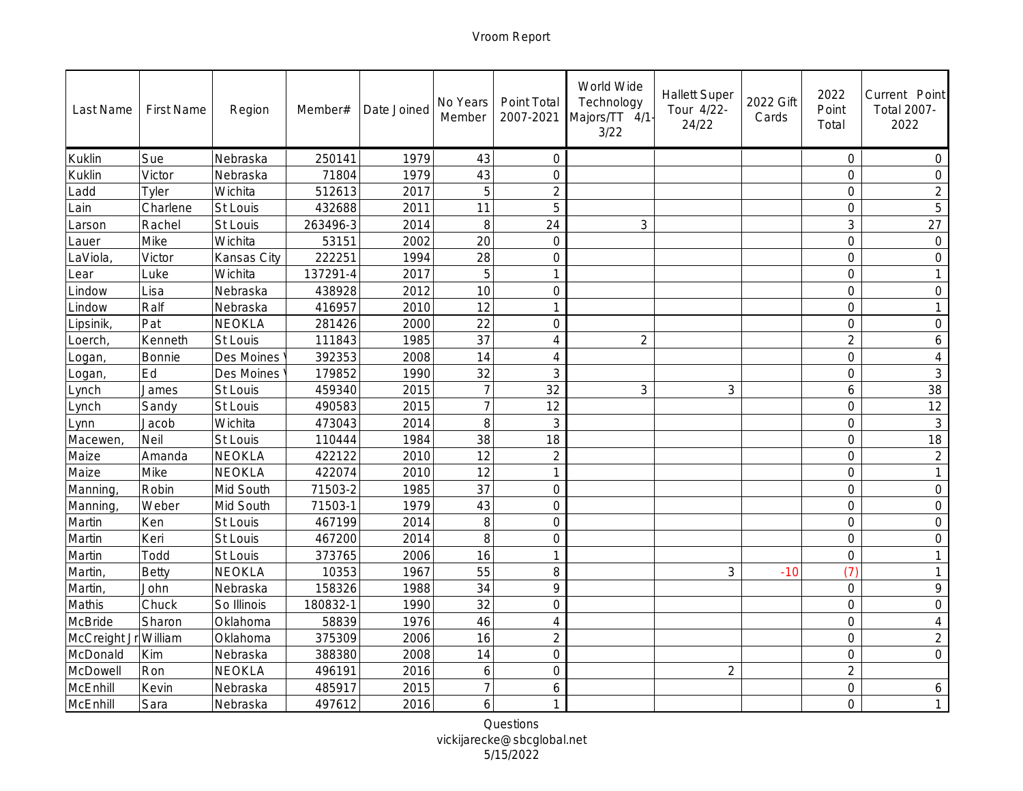| Last Name    | <b>First Name</b> | Region        | Member#  | Date Joined | No Years<br>Member | Point Total<br>2007-2021 | World Wide<br>Technology<br>Majors/TT 4/1<br>3/22 | <b>Hallett Super</b><br>Tour 4/22-<br>24/22 | 2022 Gift<br>Cards | 2022<br>Point<br>Total | Current Point<br>Total 2007-<br>2022 |
|--------------|-------------------|---------------|----------|-------------|--------------------|--------------------------|---------------------------------------------------|---------------------------------------------|--------------------|------------------------|--------------------------------------|
| Kuklin       | Sue               | Nebraska      | 250141   | 1979        | 43                 | $\overline{O}$           |                                                   |                                             |                    | $\circ$                | $\bigcirc$                           |
| Kuklin       | Victor            | Nebraska      | 71804    | 1979        | 43                 | $\overline{O}$           |                                                   |                                             |                    | $\circ$                | $\overline{O}$                       |
| Ladd         | Tyler             | Wichita       | 512613   | 2017        | 5                  | $\overline{2}$           |                                                   |                                             |                    | $\overline{0}$         | $\overline{2}$                       |
| ain          | Charlene          | St Louis      | 432688   | 2011        | 11                 | 5                        |                                                   |                                             |                    | $\overline{0}$         | 5                                    |
| _arson       | Rachel            | St Louis      | 263496-3 | 2014        | 8                  | 24                       | 3                                                 |                                             |                    | 3                      | 27                                   |
| Lauer        | Mike              | Wichita       | 53151    | 2002        | 20                 | $\overline{O}$           |                                                   |                                             |                    | $\overline{0}$         | $\circledcirc$                       |
| aViola,      | Victor            | Kansas City   | 222251   | 1994        | 28                 | $\overline{0}$           |                                                   |                                             |                    | $\overline{0}$         | $\bigcirc$                           |
| _ear         | Luke              | Wichita       | 137291-4 | 2017        | 5                  | 1                        |                                                   |                                             |                    | $\mathbf 0$            | $\mathbf{1}$                         |
| Lindow       | Lisa              | Nebraska      | 438928   | 2012        | 10                 | $\overline{0}$           |                                                   |                                             |                    | $\overline{0}$         | $\overline{0}$                       |
| Lindow       | Ralf              | Nebraska      | 416957   | 2010        | 12                 | $\mathbf 1$              |                                                   |                                             |                    | $\overline{0}$         |                                      |
| Lipsinik,    | Pat               | NEOKLA        | 281426   | 2000        | 22                 | $\overline{O}$           |                                                   |                                             |                    | $\circ$                | $\circ$                              |
| Loerch,      | Kenneth           | St Louis      | 111843   | 1985        | 37                 | $\overline{4}$           | $\overline{2}$                                    |                                             |                    | $\overline{2}$         | 6                                    |
| Logan,       | Bonnie            | Des Moines    | 392353   | 2008        | 14                 | $\overline{4}$           |                                                   |                                             |                    | $\mathbf 0$            | $\overline{4}$                       |
| Logan,       | Ed                | Des Moines    | 179852   | 1990        | 32                 | 3                        |                                                   |                                             |                    | $\circ$                | $\mathfrak{Z}$                       |
| Lynch        | James             | St Louis      | 459340   | 2015        | $\overline{7}$     | 32                       | 3                                                 | $\mathfrak{Z}$                              |                    | 6                      | 38                                   |
| Lynch        | Sandy             | St Louis      | 490583   | 2015        | $\overline{7}$     | 12                       |                                                   |                                             |                    | $\circ$                | 12                                   |
| Lynn         | Jacob             | Wichita       | 473043   | 2014        | 8                  | 3                        |                                                   |                                             |                    | $\overline{0}$         | $\mathfrak{Z}$                       |
| Macewen      | Neil              | St Louis      | 110444   | 1984        | 38                 | 18                       |                                                   |                                             |                    | $\overline{0}$         | 18                                   |
| Maize        | Amanda            | NEOKLA        | 422122   | 2010        | $\overline{12}$    | $\overline{2}$           |                                                   |                                             |                    | $\overline{O}$         | $\overline{2}$                       |
| Maize        | Mike              | NEOKLA        | 422074   | 2010        | 12                 | $\mathbf{1}$             |                                                   |                                             |                    | $\circ$                | $\mathbf{1}$                         |
| Manning,     | Robin             | Mid South     | 71503-2  | 1985        | 37                 | $\mathbf 0$              |                                                   |                                             |                    | $\circ$                | $\mathcal O$                         |
| Manning,     | Weber             | Mid South     | 71503-1  | 1979        | 43                 | $\overline{0}$           |                                                   |                                             |                    | $\mathbf 0$            | $\bigcirc$                           |
| Martin       | Ken               | St Louis      | 467199   | 2014        | 8                  | $\overline{0}$           |                                                   |                                             |                    | $\overline{0}$         | $\bigcirc$                           |
| Martin       | Keri              | St Louis      | 467200   | 2014        | 8                  | $\mathbf 0$              |                                                   |                                             |                    | $\circ$                | $\circ$                              |
| Martin       | Todd              | St Louis      | 373765   | 2006        | 16                 | $\overline{1}$           |                                                   |                                             |                    | $\circ$                | $\mathbf{1}$                         |
| Martin,      | Betty             | <b>NEOKLA</b> | 10353    | 1967        | 55                 | 8                        |                                                   | 3                                           | $-10$              | (7)                    | $\mathbf{1}$                         |
| Martin,      | John              | Nebraska      | 158326   | 1988        | 34                 | 9                        |                                                   |                                             |                    | $\circ$                | $\mathcal{Q}$                        |
| Mathis       | Chuck             | So Illinois   | 180832-1 | 1990        | 32                 | $\overline{O}$           |                                                   |                                             |                    | $\mathsf{O}$           | $\mathbf 0$                          |
| McBride      | Sharon            | Oklahoma      | 58839    | 1976        | 46                 | $\overline{4}$           |                                                   |                                             |                    | $\overline{0}$         | $\sqrt{4}$                           |
| McCreight Jr | William           | Oklahoma      | 375309   | 2006        | 16                 | $\overline{2}$           |                                                   |                                             |                    | $\mathsf O$            | $\overline{2}$                       |
| McDonald     | Kim               | Nebraska      | 388380   | 2008        | 14                 | $\overline{0}$           |                                                   |                                             |                    | $\mathsf O$            | $\overline{0}$                       |
| McDowell     | Ron               | NEOKLA        | 496191   | 2016        | 6                  | $\overline{O}$           |                                                   | $\overline{2}$                              |                    | $\overline{2}$         |                                      |
| McEnhill     | Kevin             | Nebraska      | 485917   | 2015        | $\overline{7}$     | 6                        |                                                   |                                             |                    | $\mathsf O$            | 6                                    |
| McEnhill     | Sara              | Nebraska      | 497612   | 2016        | 6                  | $\mathbf{1}$             |                                                   |                                             |                    | $\overline{O}$         | $\mathbf{1}$                         |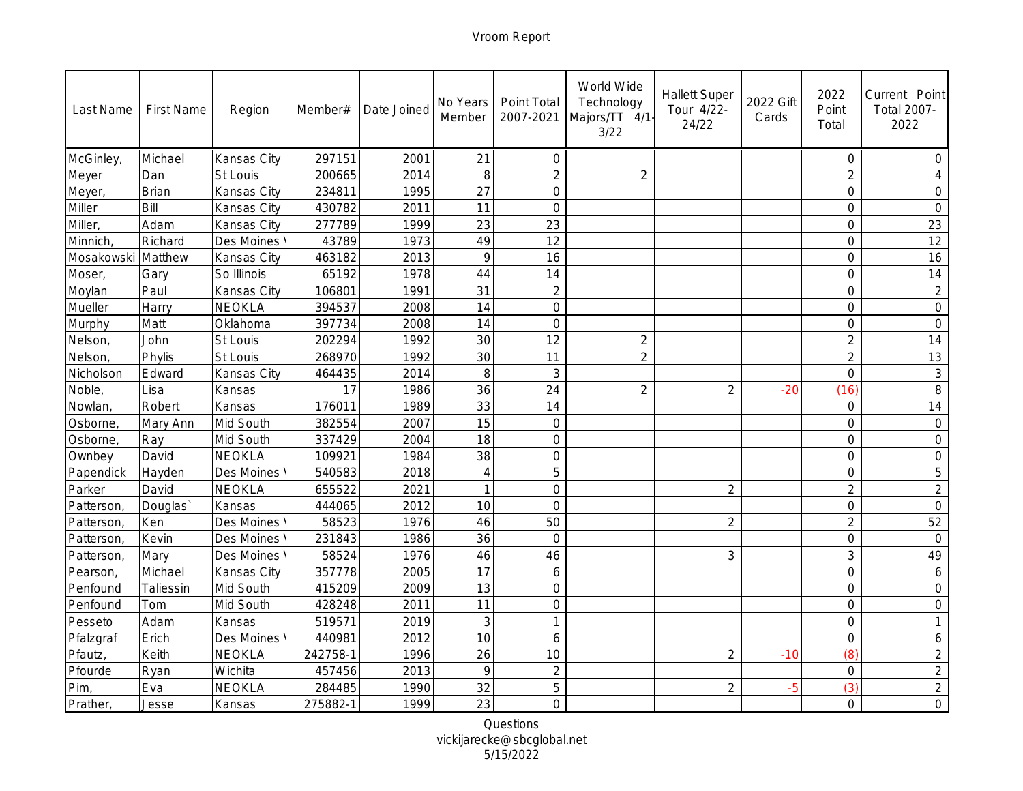| Last Name  | <b>First Name</b> | Region        | Member#  | Date Joined | No Years<br>Member | Point Total<br>2007-2021 | World Wide<br>Technology<br>Majors/TT 4/1-<br>3/22 | <b>Hallett Super</b><br>Tour 4/22-<br>24/22 | 2022 Gift<br>Cards | 2022<br>Point<br>Total | Current Point<br>Total 2007-<br>2022 |
|------------|-------------------|---------------|----------|-------------|--------------------|--------------------------|----------------------------------------------------|---------------------------------------------|--------------------|------------------------|--------------------------------------|
| McGinley,  | Michael           | Kansas City   | 297151   | 2001        | 21                 | $\mathbf 0$              |                                                    |                                             |                    | $\circ$                | $\circ$                              |
| Meyer      | Dan               | St Louis      | 200665   | 2014        | 8                  | $\overline{2}$           | $\overline{2}$                                     |                                             |                    | $\overline{2}$         | $\overline{4}$                       |
| Meyer,     | <b>Brian</b>      | Kansas City   | 234811   | 1995        | 27                 | $\overline{O}$           |                                                    |                                             |                    | $\overline{0}$         | $\overline{0}$                       |
| Miller     | Bill              | Kansas City   | 430782   | 2011        | 11                 | $\overline{O}$           |                                                    |                                             |                    | $\mathsf{O}$           | $\mathbf 0$                          |
| Miller,    | Adam              | Kansas City   | 277789   | 1999        | 23                 | 23                       |                                                    |                                             |                    | $\overline{O}$         | 23                                   |
| Minnich,   | Richard           | Des Moines    | 43789    | 1973        | 49                 | 12                       |                                                    |                                             |                    | $\circ$                | 12                                   |
| Mosakowski | Matthew           | Kansas City   | 463182   | 2013        | 9                  | 16                       |                                                    |                                             |                    | $\mathbf 0$            | 16                                   |
| Moser,     | Gary              | So Illinois   | 65192    | 1978        | 44                 | 14                       |                                                    |                                             |                    | $\circ$                | 14                                   |
| Moylan     | Paul              | Kansas City   | 106801   | 1991        | 31                 | $\overline{2}$           |                                                    |                                             |                    | $\overline{0}$         | $\sqrt{2}$                           |
| Mueller    | Harry             | NEOKLA        | 394537   | 2008        | 14                 | $\overline{0}$           |                                                    |                                             |                    | $\overline{0}$         | $\mathbf 0$                          |
| Murphy     | Matt              | Oklahoma      | 397734   | 2008        | 14                 | $\overline{O}$           |                                                    |                                             |                    | $\circ$                | $\overline{O}$                       |
| Nelson,    | John              | St Louis      | 202294   | 1992        | 30                 | 12                       | $\overline{2}$                                     |                                             |                    | $\overline{2}$         | 14                                   |
| Nelson,    | Phylis            | St Louis      | 268970   | 1992        | 30                 | 11                       | $\overline{2}$                                     |                                             |                    | $\overline{2}$         | 13                                   |
| Nicholson  | Edward            | Kansas City   | 464435   | 2014        | 8                  | $\mathfrak{Z}$           |                                                    |                                             |                    | $\mathsf O$            | $\mathsf 3$                          |
| Noble,     | Lisa              | Kansas        | 17       | 1986        | 36                 | 24                       | $\overline{2}$                                     | $\overline{2}$                              | $-20$              | (16)                   | 8                                    |
| Nowlan,    | Robert            | Kansas        | 176011   | 1989        | 33                 | 14                       |                                                    |                                             |                    | $\circ$                | 14                                   |
| Osborne,   | Mary Ann          | Mid South     | 382554   | 2007        | 15                 | $\overline{0}$           |                                                    |                                             |                    | $\overline{0}$         | $\bigcirc$                           |
| Osborne,   | Ray               | Mid South     | 337429   | 2004        | 18                 | $\overline{O}$           |                                                    |                                             |                    | $\circ$                | $\bigcirc$                           |
| Ownbey     | David             | <b>NEOKLA</b> | 109921   | 1984        | 38                 | $\overline{O}$           |                                                    |                                             |                    | $\overline{0}$         | $\bigcirc$                           |
| Papendick  | Hayden            | Des Moines    | 540583   | 2018        | $\overline{4}$     | 5                        |                                                    |                                             |                    | $\overline{0}$         | 5                                    |
| Parker     | David             | NEOKLA        | 655522   | 2021        | $\mathbf{1}$       | $\mathbf 0$              |                                                    | $\overline{2}$                              |                    | $\overline{2}$         | $\overline{2}$                       |
| Patterson  | Douglas'          | Kansas        | 444065   | 2012        | 10                 | $\overline{0}$           |                                                    |                                             |                    | $\overline{0}$         | $\overline{O}$                       |
| Patterson  | Ken               | Des Moines    | 58523    | 1976        | 46                 | 50                       |                                                    | $\overline{2}$                              |                    | $\overline{2}$         | 52                                   |
| Patterson  | Kevin             | Des Moines    | 231843   | 1986        | 36                 | $\overline{0}$           |                                                    |                                             |                    | $\mathbf 0$            | $\overline{0}$                       |
| Patterson  | Mary              | Des Moines    | 58524    | 1976        | 46                 | 46                       |                                                    | 3                                           |                    | 3                      | 49                                   |
| Pearson,   | Michael           | Kansas City   | 357778   | 2005        | 17                 | 6                        |                                                    |                                             |                    | $\overline{0}$         | $\boldsymbol{6}$                     |
| Penfound   | Taliessin         | Mid South     | 415209   | 2009        | 13                 | $\overline{O}$           |                                                    |                                             |                    | $\circ$                | $\overline{0}$                       |
| Penfound   | Tom               | Mid South     | 428248   | 2011        | 11                 | $\overline{O}$           |                                                    |                                             |                    | $\mathsf{O}$           | $\overline{0}$                       |
| Pesseto    | Adam              | Kansas        | 519571   | 2019        | 3                  | 1                        |                                                    |                                             |                    | $\circ$                | $\mathbf{1}$                         |
| Pfalzgraf  | Erich             | Des Moines    | 440981   | 2012        | 10                 | 6                        |                                                    |                                             |                    | $\overline{O}$         | $\boldsymbol{6}$                     |
| Pfautz,    | Keith             | NEOKLA        | 242758-1 | 1996        | 26                 | 10                       |                                                    | $\overline{2}$                              | $-10$              | (8)                    | $\overline{2}$                       |
| Pfourde    | Ryan              | Wichita       | 457456   | 2013        | 9                  | $\overline{2}$           |                                                    |                                             |                    | $\overline{O}$         | $\sqrt{2}$                           |
| Pim,       | Eva               | NEOKLA        | 284485   | 1990        | 32                 | 5                        |                                                    | $\overline{2}$                              | $-5$               | (3)                    | $\overline{2}$                       |
| Prather,   | Jesse             | Kansas        | 275882-1 | 1999        | 23                 | $\overline{O}$           |                                                    |                                             |                    | $\Omega$               | $\overline{O}$                       |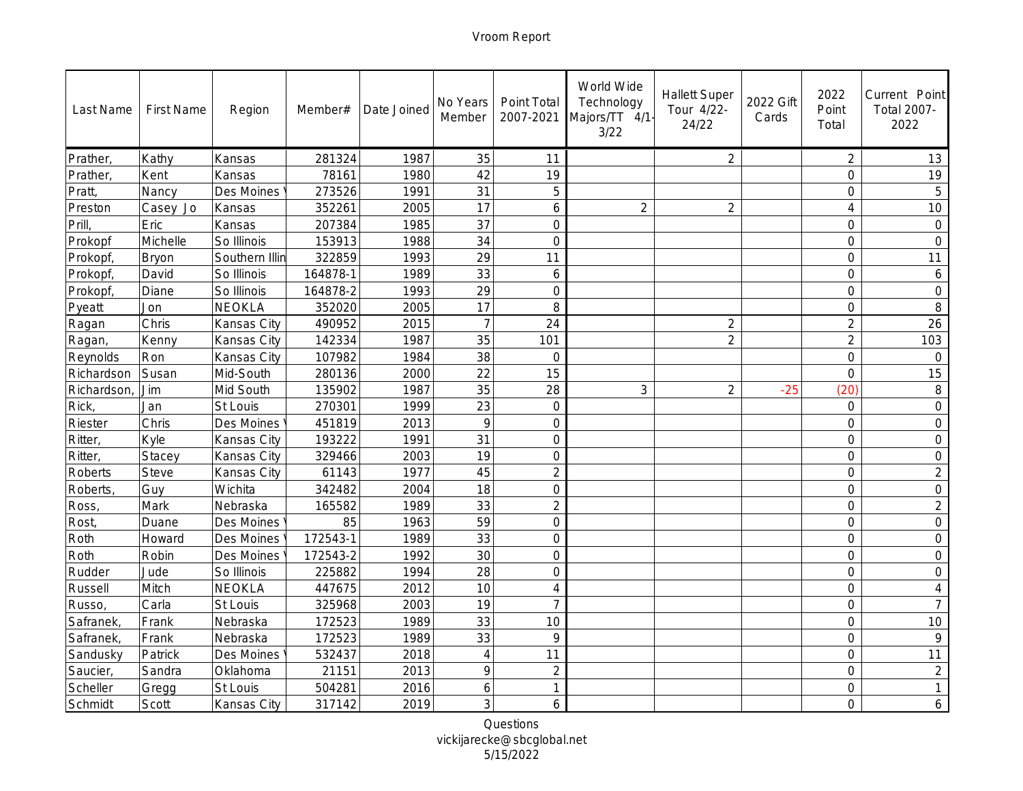| Last Name  | <b>First Name</b> | Region         | Member#  | Date Joined | No Years<br>Member | Point Total<br>2007-2021 | World Wide<br>Technology<br>Majors/TT 4/1-<br>3/22 | <b>Hallett Super</b><br>Tour 4/22-<br>24/22 | 2022 Gift<br>Cards | 2022<br>Point<br>Total | Current Point<br>Total 2007-<br>2022 |
|------------|-------------------|----------------|----------|-------------|--------------------|--------------------------|----------------------------------------------------|---------------------------------------------|--------------------|------------------------|--------------------------------------|
| Prather,   | Kathy             | Kansas         | 281324   | 1987        | 35                 | 11                       |                                                    | $\overline{2}$                              |                    | $\overline{2}$         | 13                                   |
| Prather,   | Kent              | Kansas         | 78161    | 1980        | 42                 | 19                       |                                                    |                                             |                    | $\mathsf{O}$           | 19                                   |
| Pratt,     | Nancy             | Des Moines     | 273526   | 1991        | 31                 | 5                        |                                                    |                                             |                    | $\mathsf{O}$           | 5                                    |
| Preston    | Casey Jo          | Kansas         | 352261   | 2005        | 17                 | 6                        | $\overline{2}$                                     | $\overline{2}$                              |                    | $\overline{4}$         | 10                                   |
| Prill,     | Eric              | Kansas         | 207384   | 1985        | 37                 | $\overline{O}$           |                                                    |                                             |                    | $\mathcal{O}$          | $\circledcirc$                       |
| Prokopf    | Michelle          | So Illinois    | 153913   | 1988        | 34                 | $\overline{O}$           |                                                    |                                             |                    | $\overline{0}$         | $\sqrt{a}$                           |
| Prokopf,   | Bryon             | Southern Illin | 322859   | 1993        | 29                 | 11                       |                                                    |                                             |                    | $\overline{0}$         | 11                                   |
| Prokopf,   | David             | So Illinois    | 164878-1 | 1989        | 33                 | 6                        |                                                    |                                             |                    | $\mathbf 0$            | $\boldsymbol{6}$                     |
| Prokopf,   | Diane             | So Illinois    | 164878-2 | 1993        | 29                 | $\overline{O}$           |                                                    |                                             |                    | $\overline{0}$         | $\overline{O}$                       |
| Pyeatt     | Jon               | NEOKLA         | 352020   | 2005        | 17                 | 8                        |                                                    |                                             |                    | $\overline{0}$         | 8                                    |
| Ragan      | Chris             | Kansas City    | 490952   | 2015        | $\overline{7}$     | 24                       |                                                    | $\overline{2}$                              |                    | $\overline{2}$         | 26                                   |
| Ragan,     | Kenny             | Kansas City    | 142334   | 1987        | 35                 | 101                      |                                                    | $\overline{2}$                              |                    | $\overline{2}$         | 103                                  |
| Reynolds   | Ron               | Kansas City    | 107982   | 1984        | 38                 | $\circ$                  |                                                    |                                             |                    | $\mathbf 0$            | $\circ$                              |
| Richardson | Susan             | Mid-South      | 280136   | 2000        | 22                 | 15                       |                                                    |                                             |                    | $\overline{0}$         | 15                                   |
| Richardson | Jim               | Mid South      | 135902   | 1987        | 35                 | 28                       | 3                                                  | $\overline{2}$                              | $-25$              | (20)                   | $\,8\,$                              |
| Rick,      | Jan               | St Louis       | 270301   | 1999        | 23                 | $\circ$                  |                                                    |                                             |                    | $\circ$                | $\bigcirc$                           |
| Riester    | Chris             | Des Moines     | 451819   | 2013        | 9                  | $\overline{0}$           |                                                    |                                             |                    | $\overline{0}$         | $\mathbf 0$                          |
| Ritter,    | Kyle              | Kansas City    | 193222   | 1991        | 31                 | $\overline{0}$           |                                                    |                                             |                    | $\overline{O}$         | $\bigcirc$                           |
| Ritter,    | Stacey            | Kansas City    | 329466   | 2003        | 19                 | $\overline{O}$           |                                                    |                                             |                    | $\overline{O}$         | $\overline{O}$                       |
| Roberts    | <b>Steve</b>      | Kansas City    | 61143    | 1977        | 45                 | $\overline{2}$           |                                                    |                                             |                    | $\circ$                | $\overline{2}$                       |
| Roberts,   | Guy               | Wichita        | 342482   | 2004        | 18                 | $\mathbf 0$              |                                                    |                                             |                    | $\circ$                | $\circ$                              |
| Ross,      | Mark              | Nebraska       | 165582   | 1989        | 33                 | $\overline{2}$           |                                                    |                                             |                    | $\mathbf 0$            | $\overline{2}$                       |
| Rost,      | Duane             | Des Moines     | 85       | 1963        | 59                 | $\overline{0}$           |                                                    |                                             |                    | $\overline{0}$         | $\mathcal O$                         |
| Roth       | Howard            | Des Moines     | 172543-1 | 1989        | 33                 | $\mathbf 0$              |                                                    |                                             |                    | $\circ$                | $\circ$                              |
| Roth       | Robin             | Des Moines     | 172543-2 | 1992        | 30                 | $\overline{0}$           |                                                    |                                             |                    | $\circ$                | $\circ$                              |
| Rudder     | Jude              | So Illinois    | 225882   | 1994        | 28                 | $\overline{O}$           |                                                    |                                             |                    | $\overline{0}$         | $\overline{0}$                       |
| Russell    | Mitch             | NEOKLA         | 447675   | 2012        | 10                 | $\overline{4}$           |                                                    |                                             |                    | $\circ$                | $\overline{4}$                       |
| Russo,     | Carla             | St Louis       | 325968   | 2003        | 19                 | $\overline{7}$           |                                                    |                                             |                    | $\mathsf{O}$           | $\overline{7}$                       |
| Safranek,  | Frank             | Nebraska       | 172523   | 1989        | 33                 | 10                       |                                                    |                                             |                    | $\overline{0}$         | 10                                   |
| Safranek,  | Frank             | Nebraska       | 172523   | 1989        | 33                 | $\circ$                  |                                                    |                                             |                    | $\mathsf O$            | $\circ$                              |
| Sandusky   | Patrick           | Des Moines     | 532437   | 2018        | $\overline{4}$     | 11                       |                                                    |                                             |                    | $\overline{O}$         | 11                                   |
| Saucier,   | Sandra            | Oklahoma       | 21151    | 2013        | 9                  | $\overline{2}$           |                                                    |                                             |                    | $\overline{0}$         | $\overline{2}$                       |
| Scheller   | Gregg             | St Louis       | 504281   | 2016        | 6                  | 1                        |                                                    |                                             |                    | $\mathbf 0$            | $\mathbf{1}$                         |
| Schmidt    | Scott             | Kansas City    | 317142   | 2019        | 3                  | 6                        |                                                    |                                             |                    | $\overline{O}$         | 6                                    |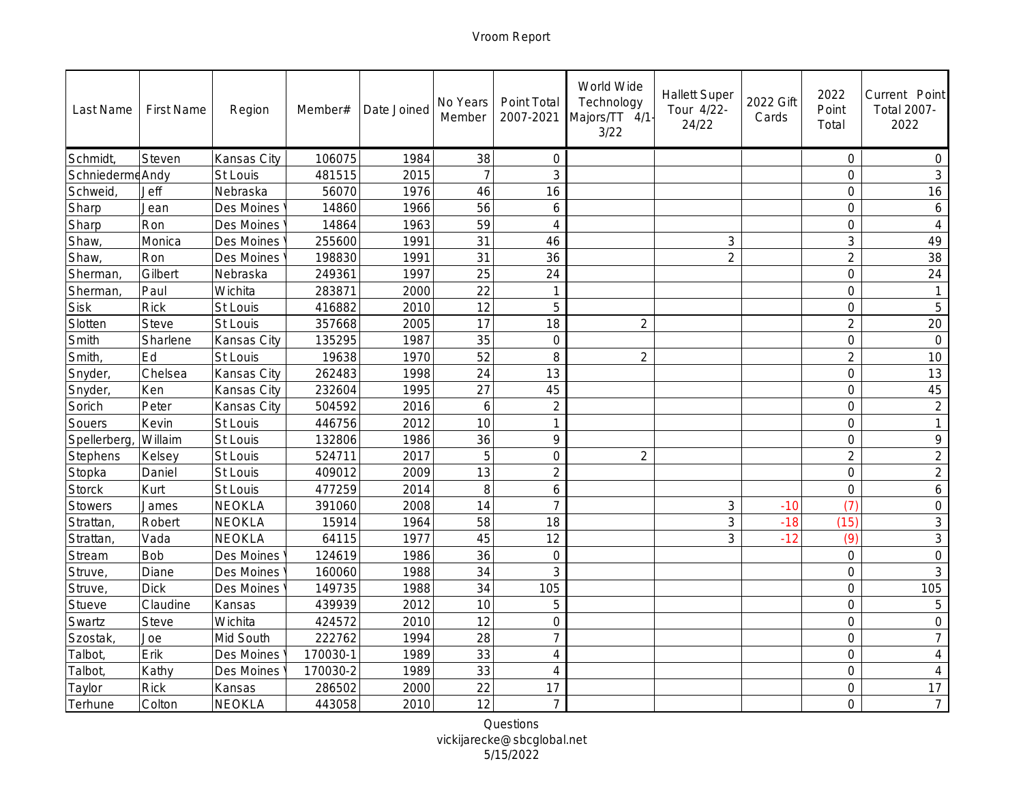| Last Name      | <b>First Name</b> | Region      | Member#  | Date Joined | No Years<br>Member | Point Total<br>2007-2021 | World Wide<br>Technology<br>Majors/TT 4/1<br>3/22 | <b>Hallett Super</b><br>Tour 4/22-<br>24/22 | 2022 Gift<br>Cards | 2022<br>Point<br>Total | Current Point<br>Total 2007-<br>2022 |
|----------------|-------------------|-------------|----------|-------------|--------------------|--------------------------|---------------------------------------------------|---------------------------------------------|--------------------|------------------------|--------------------------------------|
| Schmidt,       | Steven            | Kansas City | 106075   | 1984        | 38                 | $\overline{O}$           |                                                   |                                             |                    | $\circ$                | $\circ$                              |
| Schniederme    | Andy              | St Louis    | 481515   | 2015        | $\overline{7}$     | 3                        |                                                   |                                             |                    | $\circ$                | $\mathfrak{Z}$                       |
| <b>Schweid</b> | Jeff              | Nebraska    | 56070    | 1976        | 46                 | 16                       |                                                   |                                             |                    | $\overline{0}$         | 16                                   |
| Sharp          | Jean              | Des Moines  | 14860    | 1966        | 56                 | 6                        |                                                   |                                             |                    | $\overline{0}$         | 6                                    |
| Sharp          | Ron               | Des Moines  | 14864    | 1963        | 59                 | 4                        |                                                   |                                             |                    | $\mathbf 0$            | $\overline{4}$                       |
| Shaw,          | Monica            | Des Moines  | 255600   | 1991        | 31                 | 46                       |                                                   | $\mathfrak{Z}$                              |                    | $\mathsf 3$            | 49                                   |
| Shaw,          | Ron               | Des Moines  | 198830   | 1991        | 31                 | 36                       |                                                   | $\overline{2}$                              |                    | $\overline{2}$         | 38                                   |
| Sherman,       | Gilbert           | Nebraska    | 249361   | 1997        | 25                 | 24                       |                                                   |                                             |                    | $\mathbf 0$            | 24                                   |
| Sherman,       | Paul              | Wichita     | 283871   | 2000        | $\overline{22}$    | $\mathbf{1}$             |                                                   |                                             |                    | $\overline{0}$         |                                      |
| <b>Sisk</b>    | <b>Rick</b>       | St Louis    | 416882   | 2010        | 12                 | 5                        |                                                   |                                             |                    | $\overline{0}$         | 5                                    |
| Slotten        | Steve             | St Louis    | 357668   | 2005        | 17                 | 18                       | $\overline{2}$                                    |                                             |                    | $\overline{2}$         | 20                                   |
| Smith          | Sharlene          | Kansas City | 135295   | 1987        | 35                 | $\overline{O}$           |                                                   |                                             |                    | $\mathcal{O}$          | $\overline{O}$                       |
| Smith,         | Ed                | St Louis    | 19638    | 1970        | 52                 | $\,8\,$                  | $\overline{2}$                                    |                                             |                    | $\overline{2}$         | 10                                   |
| Snyder,        | Chelsea           | Kansas City | 262483   | 1998        | 24                 | 13                       |                                                   |                                             |                    | $\mathsf O$            | 13                                   |
| Snyder,        | Ken               | Kansas City | 232604   | 1995        | 27                 | 45                       |                                                   |                                             |                    | $\overline{0}$         | 45                                   |
| Sorich         | Peter             | Kansas City | 504592   | 2016        | 6                  | $\overline{2}$           |                                                   |                                             |                    | $\mathsf{O}$           | $\overline{2}$                       |
| Souers         | Kevin             | St Louis    | 446756   | 2012        | 10                 | 1                        |                                                   |                                             |                    | $\overline{0}$         | $\mathbf{1}$                         |
| Spellerberg    | Willaim           | St Louis    | 132806   | 1986        | 36                 | $\circ$                  |                                                   |                                             |                    | $\overline{O}$         | $\mathcal{Q}$                        |
| Stephens       | Kelsey            | St Louis    | 524711   | 2017        | 5                  | $\overline{0}$           | $\overline{2}$                                    |                                             |                    | $\overline{2}$         | $\overline{2}$                       |
| Stopka         | Daniel            | St Louis    | 409012   | 2009        | 13                 | $\overline{2}$           |                                                   |                                             |                    | $\mathbf 0$            | $\overline{2}$                       |
| <b>Storck</b>  | Kurt              | St Louis    | 477259   | 2014        | 8                  | 6                        |                                                   |                                             |                    | $\mathbf 0$            | $\boldsymbol{6}$                     |
| Stowers        | James             | NEOKLA      | 391060   | 2008        | 14                 | $\overline{7}$           |                                                   | $\mathfrak{Z}$                              | $-10$              | (7)                    | $\bigcirc$                           |
| Strattan,      | Robert            | NEOKLA      | 15914    | 1964        | 58                 | 18                       |                                                   | 3                                           | $-18$              | (15)                   | $\mathsf 3$                          |
| Strattan,      | Vada              | NEOKLA      | 64115    | 1977        | 45                 | 12                       |                                                   | 3                                           | $-12$              | (9)                    | $\mathfrak{Z}$                       |
| Stream         | Bob               | Des Moines  | 124619   | 1986        | 36                 | $\overline{0}$           |                                                   |                                             |                    | $\overline{0}$         | $\circ$                              |
| Struve,        | Diane             | Des Moines  | 160060   | 1988        | 34                 | 3                        |                                                   |                                             |                    | $\overline{0}$         | 3                                    |
| Struve,        | <b>Dick</b>       | Des Moines  | 149735   | 1988        | 34                 | 105                      |                                                   |                                             |                    | $\mathsf{O}$           | 105                                  |
| Stueve         | Claudine          | Kansas      | 439939   | 2012        | 10                 | 5                        |                                                   |                                             |                    | $\mathsf{O}$           | 5                                    |
| Swartz         | <b>Steve</b>      | Wichita     | 424572   | 2010        | 12                 | $\overline{O}$           |                                                   |                                             |                    | $\overline{0}$         | $\Omega$                             |
| Szostak,       | Joe               | Mid South   | 222762   | 1994        | 28                 | 7                        |                                                   |                                             |                    | $\mathsf O$            | 7                                    |
| Talbot,        | Erik              | Des Moines  | 170030-1 | 1989        | 33                 | $\overline{4}$           |                                                   |                                             |                    | $\overline{O}$         | $\overline{4}$                       |
| Talbot,        | Kathy             | Des Moines  | 170030-2 | 1989        | 33                 | $\overline{4}$           |                                                   |                                             |                    | $\overline{0}$         | $\overline{4}$                       |
| Taylor         | <b>Rick</b>       | Kansas      | 286502   | 2000        | 22                 | 17                       |                                                   |                                             |                    | $\mathcal{O}$          | 17                                   |
| Terhune        | Colton            | NEOKLA      | 443058   | 2010        | 12                 | $\overline{7}$           |                                                   |                                             |                    | $\overline{O}$         | $\overline{7}$                       |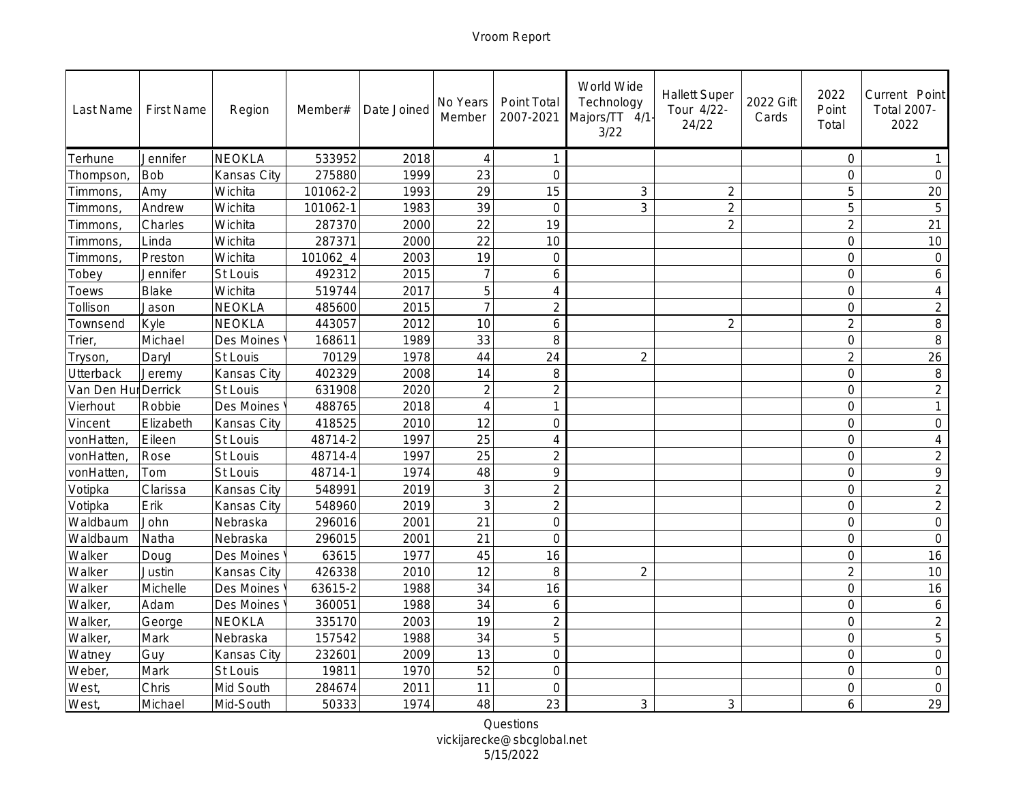| Last Name      | <b>First Name</b> | Region        | Member#  | Date Joined | No Years<br>Member | Point Total<br>2007-2021 | World Wide<br>Technology<br>Majors/TT 4/1-<br>3/22 | <b>Hallett Super</b><br>Tour 4/22-<br>24/22 | 2022 Gift<br>Cards | 2022<br>Point<br>Total | Current Point<br>Total 2007-<br>2022 |
|----------------|-------------------|---------------|----------|-------------|--------------------|--------------------------|----------------------------------------------------|---------------------------------------------|--------------------|------------------------|--------------------------------------|
| Terhune        | Jennifer          | NEOKLA        | 533952   | 2018        | $\overline{4}$     | $\overline{1}$           |                                                    |                                             |                    | $\circ$                | -1                                   |
| Thompson,      | Bob               | Kansas City   | 275880   | 1999        | 23                 | $\overline{O}$           |                                                    |                                             |                    | $\circ$                | $\overline{O}$                       |
| Timmons        | Amy               | Wichita       | 101062-2 | 1993        | 29                 | 15                       | $\ensuremath{\mathsf{3}}$                          | $\overline{2}$                              |                    | 5                      | 20                                   |
| Timmons        | Andrew            | Wichita       | 101062-1 | 1983        | 39                 | $\overline{0}$           | 3                                                  | $\overline{2}$                              |                    | 5                      | 5                                    |
| <b>Timmons</b> | Charles           | Wichita       | 287370   | 2000        | 22                 | 19                       |                                                    | $\overline{2}$                              |                    | $\overline{2}$         | 21                                   |
| Timmons.       | Linda             | Wichita       | 287371   | 2000        | 22                 | 10                       |                                                    |                                             |                    | $\mathbf 0$            | 10                                   |
| Timmons        | Preston           | Wichita       | 101062_4 | 2003        | 19                 | $\overline{0}$           |                                                    |                                             |                    | $\overline{0}$         | $\bigcirc$                           |
| Tobey          | Jennifer          | St Louis      | 492312   | 2015        | $\overline{7}$     | 6                        |                                                    |                                             |                    | $\mathbf 0$            | 6                                    |
| Toews          | Blake             | Wichita       | 519744   | 2017        | 5                  | $\overline{4}$           |                                                    |                                             |                    | $\overline{0}$         | $\overline{4}$                       |
| Tollison       | Jason             | NEOKLA        | 485600   | 2015        |                    | $\overline{2}$           |                                                    |                                             |                    | $\overline{0}$         | $\overline{2}$                       |
| Townsend       | Kyle              | NEOKLA        | 443057   | 2012        | 10                 | 6                        |                                                    | $\overline{2}$                              |                    | $\overline{2}$         | 8                                    |
| Trier,         | Michael           | Des Moines    | 168611   | 1989        | 33                 | 8                        |                                                    |                                             |                    | $\mathcal{O}$          | 8                                    |
| Tryson,        | Daryl             | St Louis      | 70129    | 1978        | 44                 | 24                       | $\overline{2}$                                     |                                             |                    | $\overline{2}$         | 26                                   |
| Utterback      | Jeremy            | Kansas City   | 402329   | 2008        | 14                 | $\,8\,$                  |                                                    |                                             |                    | $\circ$                | $\, 8$                               |
| Van Den Hur    | Derrick           | St Louis      | 631908   | 2020        | $\overline{2}$     | $\overline{2}$           |                                                    |                                             |                    | $\overline{0}$         | $\overline{2}$                       |
| Vierhout       | Robbie            | Des Moines    | 488765   | 2018        | $\overline{A}$     | 1                        |                                                    |                                             |                    | $\circ$                | $\mathbf{1}$                         |
| Vincent        | Elizabeth         | Kansas City   | 418525   | 2010        | 12                 | $\overline{0}$           |                                                    |                                             |                    | $\overline{0}$         | $\mathbf 0$                          |
| vonHatten      | Eileen            | St Louis      | 48714-2  | 1997        | 25                 | $\overline{4}$           |                                                    |                                             |                    | $\overline{0}$         | $\overline{4}$                       |
| vonHatten      | Rose              | St Louis      | 48714-4  | 1997        | $\overline{25}$    | $\overline{2}$           |                                                    |                                             |                    | $\overline{O}$         | $\overline{2}$                       |
| vonHatten,     | Tom               | St Louis      | 48714-1  | 1974        | 48                 | $\circ$                  |                                                    |                                             |                    | $\circ$                | $\mathcal{Q}$                        |
| Votipka        | Clarissa          | Kansas City   | 548991   | 2019        | 3                  | $\overline{2}$           |                                                    |                                             |                    | $\circ$                | $\overline{2}$                       |
| Votipka        | Erik              | Kansas City   | 548960   | 2019        | 3                  | $\overline{2}$           |                                                    |                                             |                    | $\mathbf 0$            | $\overline{2}$                       |
| Waldbaum       | John              | Nebraska      | 296016   | 2001        | 21                 | $\overline{0}$           |                                                    |                                             |                    | $\overline{0}$         | $\mathcal O$                         |
| Waldbaum       | Natha             | Nebraska      | 296015   | 2001        | 21                 | $\overline{0}$           |                                                    |                                             |                    | $\circ$                | $\overline{O}$                       |
| Walker         | Doug              | Des Moines    | 63615    | 1977        | 45                 | 16                       |                                                    |                                             |                    | $\circ$                | 16                                   |
| Walker         | Justin            | Kansas City   | 426338   | 2010        | 12                 | 8                        | $\overline{2}$                                     |                                             |                    | $\overline{2}$         | 10                                   |
| Walker         | Michelle          | Des Moines    | 63615-2  | 1988        | 34                 | 16                       |                                                    |                                             |                    | $\mathbf 0$            | 16                                   |
| Walker,        | Adam              | Des Moines    | 360051   | 1988        | 34                 | 6                        |                                                    |                                             |                    | $\mathsf{O}$           | $\boldsymbol{6}$                     |
| Walker,        | George            | <b>NEOKLA</b> | 335170   | 2003        | 19                 | $\overline{2}$           |                                                    |                                             |                    | $\overline{0}$         | $\overline{2}$                       |
| Walker,        | Mark              | Nebraska      | 157542   | 1988        | 34                 | 5                        |                                                    |                                             |                    | $\mathsf O$            | 5                                    |
| Watney         | Guy               | Kansas City   | 232601   | 2009        | 13                 | $\overline{0}$           |                                                    |                                             |                    | $\overline{O}$         | $\mathsf O$                          |
| Weber,         | Mark              | St Louis      | 19811    | 1970        | 52                 | $\overline{O}$           |                                                    |                                             |                    | $\overline{0}$         | $\overline{O}$                       |
| West,          | Chris             | Mid South     | 284674   | 2011        | 11                 | $\circ$                  |                                                    |                                             |                    | $\mathbf 0$            | $\mathbf 0$                          |
| West,          | Michael           | Mid-South     | 50333    | 1974        | 48                 | 23                       | 3                                                  | 3                                           |                    | 6                      | 29                                   |